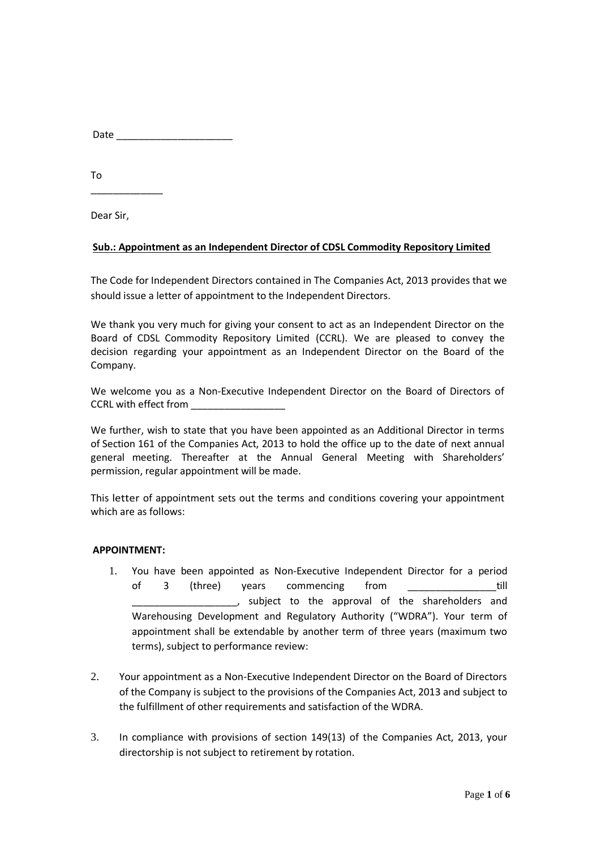| Date |
|------|
|------|

To

Dear Sir,

\_\_\_\_\_\_\_\_\_\_\_\_\_

## **Sub.: Appointment as an Independent Director of CDSL Commodity Repository Limited**

The Code for Independent Directors contained in The Companies Act, 2013 provides that we should issue a letter of appointment to the Independent Directors.

We thank you very much for giving your consent to act as an Independent Director on the Board of CDSL Commodity Repository Limited (CCRL). We are pleased to convey the decision regarding your appointment as an Independent Director on the Board of the Company.

We welcome you as a Non-Executive Independent Director on the Board of Directors of CCRL with effect from

We further, wish to state that you have been appointed as an Additional Director in terms of Section 161 of the Companies Act, 2013 to hold the office up to the date of next annual general meeting. Thereafter at the Annual General Meeting with Shareholders' permission, regular appointment will be made.

This letter of appointment sets out the terms and conditions covering your appointment which are as follows:

## **APPOINTMENT:**

- 1. You have been appointed as Non-Executive Independent Director for a period of 3 (three) years commencing from \_\_\_\_\_\_\_\_\_\_\_\_\_\_\_\_till \_\_\_\_\_\_\_\_\_\_\_\_\_\_\_\_\_\_\_, subject to the approval of the shareholders and Warehousing Development and Regulatory Authority ("WDRA"). Your term of appointment shall be extendable by another term of three years (maximum two terms), subject to performance review:
- 2. Your appointment as a Non-Executive Independent Director on the Board of Directors of the Company is subject to the provisions of the Companies Act, 2013 and subject to the fulfillment of other requirements and satisfaction of the WDRA.
- 3. In compliance with provisions of section 149(13) of the Companies Act, 2013, your directorship is not subject to retirement by rotation.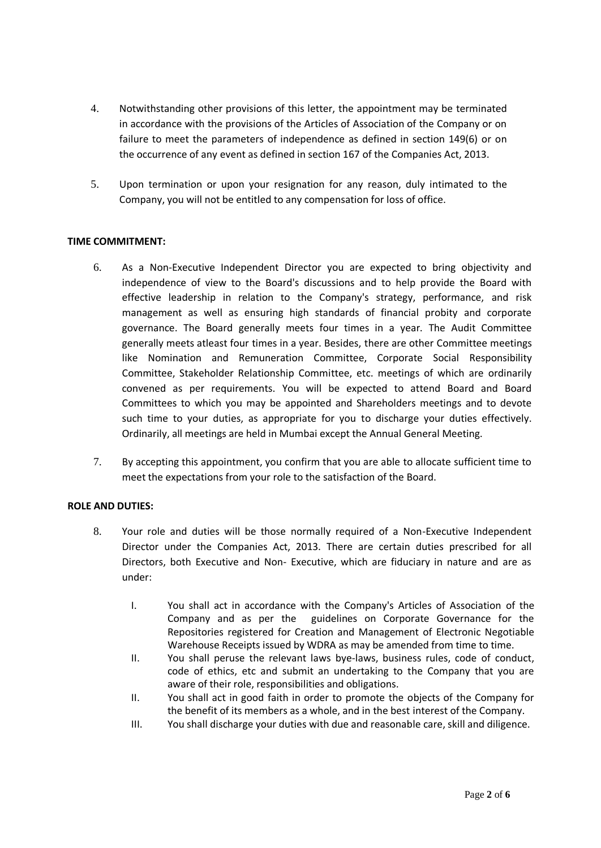- 4. Notwithstanding other provisions of this letter, the appointment may be terminated in accordance with the provisions of the Articles of Association of the Company or on failure to meet the parameters of independence as defined in section 149(6) or on the occurrence of any event as defined in section 167 of the Companies Act, 2013.
- 5. Upon termination or upon your resignation for any reason, duly intimated to the Company, you will not be entitled to any compensation for loss of office.

## **TIME COMMITMENT:**

- 6. As a Non-Executive Independent Director you are expected to bring objectivity and independence of view to the Board's discussions and to help provide the Board with effective leadership in relation to the Company's strategy, performance, and risk management as well as ensuring high standards of financial probity and corporate governance. The Board generally meets four times in a year. The Audit Committee generally meets atleast four times in a year. Besides, there are other Committee meetings like Nomination and Remuneration Committee, Corporate Social Responsibility Committee, Stakeholder Relationship Committee, etc. meetings of which are ordinarily convened as per requirements. You will be expected to attend Board and Board Committees to which you may be appointed and Shareholders meetings and to devote such time to your duties, as appropriate for you to discharge your duties effectively. Ordinarily, all meetings are held in Mumbai except the Annual General Meeting.
- 7. By accepting this appointment, you confirm that you are able to allocate sufficient time to meet the expectations from your role to the satisfaction of the Board.

# **ROLE AND DUTIES:**

- 8. Your role and duties will be those normally required of a Non-Executive Independent Director under the Companies Act, 2013. There are certain duties prescribed for all Directors, both Executive and Non- Executive, which are fiduciary in nature and are as under:
	- I. You shall act in accordance with the Company's Articles of Association of the Company and as per the guidelines on Corporate Governance for the Repositories registered for Creation and Management of Electronic Negotiable Warehouse Receipts issued by WDRA as may be amended from time to time.
	- II. You shall peruse the relevant laws bye-laws, business rules, code of conduct, code of ethics, etc and submit an undertaking to the Company that you are aware of their role, responsibilities and obligations.
	- II. You shall act in good faith in order to promote the objects of the Company for the benefit of its members as a whole, and in the best interest of the Company.
	- III. You shall discharge your duties with due and reasonable care, skill and diligence.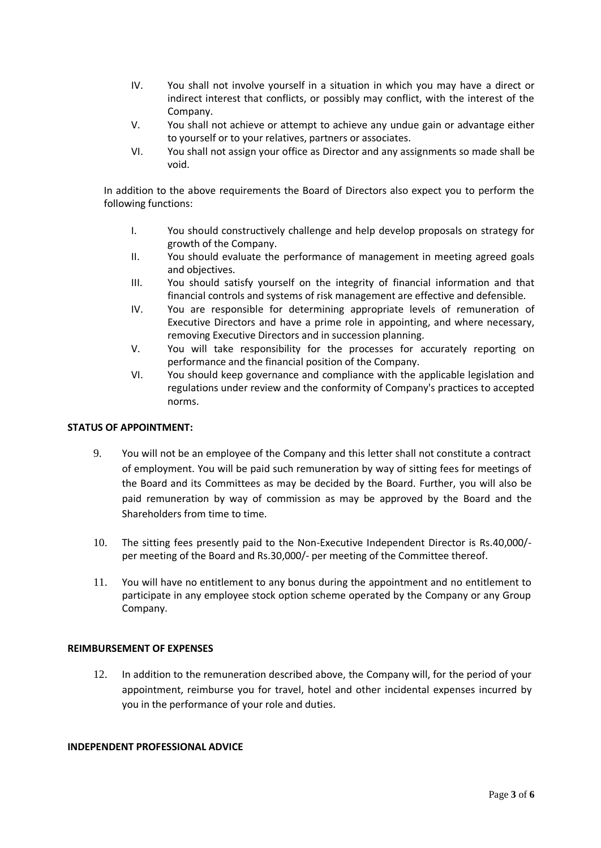- IV. You shall not involve yourself in a situation in which you may have a direct or indirect interest that conflicts, or possibly may conflict, with the interest of the Company.
- V. You shall not achieve or attempt to achieve any undue gain or advantage either to yourself or to your relatives, partners or associates.
- VI. You shall not assign your office as Director and any assignments so made shall be void.

In addition to the above requirements the Board of Directors also expect you to perform the following functions:

- I. You should constructively challenge and help develop proposals on strategy for growth of the Company.
- II. You should evaluate the performance of management in meeting agreed goals and objectives.
- III. You should satisfy yourself on the integrity of financial information and that financial controls and systems of risk management are effective and defensible.
- IV. You are responsible for determining appropriate levels of remuneration of Executive Directors and have a prime role in appointing, and where necessary, removing Executive Directors and in succession planning.
- V. You will take responsibility for the processes for accurately reporting on performance and the financial position of the Company.
- VI. You should keep governance and compliance with the applicable legislation and regulations under review and the conformity of Company's practices to accepted norms.

## **STATUS OF APPOINTMENT:**

- 9. You will not be an employee of the Company and this letter shall not constitute a contract of employment. You will be paid such remuneration by way of sitting fees for meetings of the Board and its Committees as may be decided by the Board. Further, you will also be paid remuneration by way of commission as may be approved by the Board and the Shareholders from time to time.
- 10. The sitting fees presently paid to the Non-Executive Independent Director is Rs.40,000/ per meeting of the Board and Rs.30,000/- per meeting of the Committee thereof.
- 11. You will have no entitlement to any bonus during the appointment and no entitlement to participate in any employee stock option scheme operated by the Company or any Group Company.

## **REIMBURSEMENT OF EXPENSES**

12. In addition to the remuneration described above, the Company will, for the period of your appointment, reimburse you for travel, hotel and other incidental expenses incurred by you in the performance of your role and duties.

## **INDEPENDENT PROFESSIONAL ADVICE**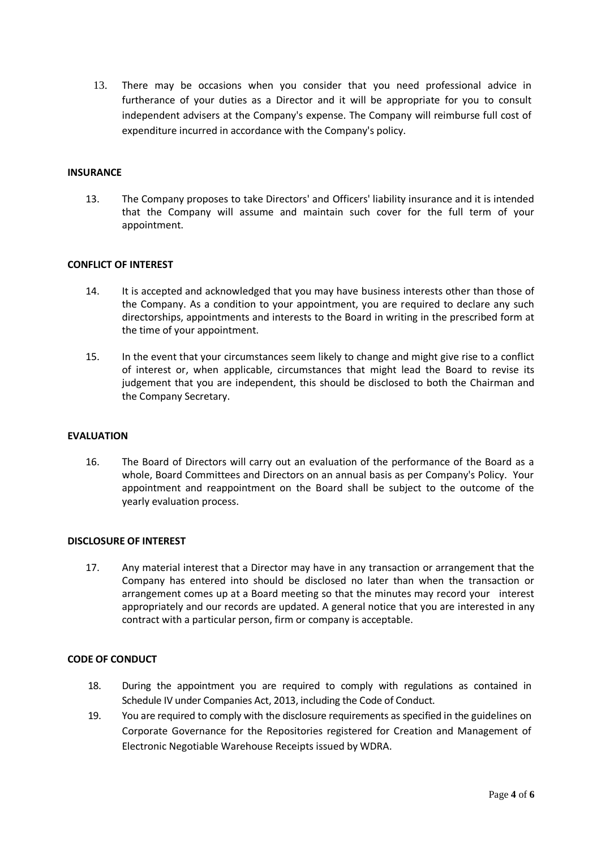13. There may be occasions when you consider that you need professional advice in furtherance of your duties as a Director and it will be appropriate for you to consult independent advisers at the Company's expense. The Company will reimburse full cost of expenditure incurred in accordance with the Company's policy.

#### **INSURANCE**

13. The Company proposes to take Directors' and Officers' liability insurance and it is intended that the Company will assume and maintain such cover for the full term of your appointment.

### **CONFLICT OF INTEREST**

- 14. It is accepted and acknowledged that you may have business interests other than those of the Company. As a condition to your appointment, you are required to declare any such directorships, appointments and interests to the Board in writing in the prescribed form at the time of your appointment.
- 15. In the event that your circumstances seem likely to change and might give rise to a conflict of interest or, when applicable, circumstances that might lead the Board to revise its judgement that you are independent, this should be disclosed to both the Chairman and the Company Secretary.

#### **EVALUATION**

16. The Board of Directors will carry out an evaluation of the performance of the Board as a whole, Board Committees and Directors on an annual basis as per Company's Policy. Your appointment and reappointment on the Board shall be subject to the outcome of the yearly evaluation process.

#### **DISCLOSURE OF INTEREST**

17. Any material interest that a Director may have in any transaction or arrangement that the Company has entered into should be disclosed no later than when the transaction or arrangement comes up at a Board meeting so that the minutes may record your interest appropriately and our records are updated. A general notice that you are interested in any contract with a particular person, firm or company is acceptable.

## **CODE OF CONDUCT**

- 18. During the appointment you are required to comply with regulations as contained in Schedule IV under Companies Act, 2013, including the Code of Conduct.
- 19. You are required to comply with the disclosure requirements as specified in the guidelines on Corporate Governance for the Repositories registered for Creation and Management of Electronic Negotiable Warehouse Receipts issued by WDRA.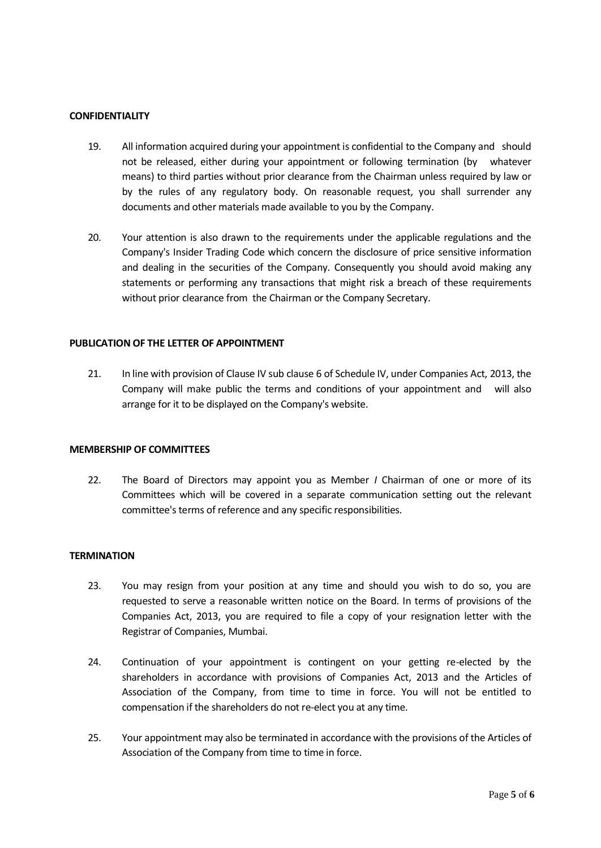### **CONFIDENTIALITY**

- 19. All information acquired during your appointment is confidential to the Company and should not be released, either during your appointment or following termination (by whatever means) to third parties without prior clearance from the Chairman unless required by law or by the rules of any regulatory body. On reasonable request, you shall surrender any documents and other materials made available to you by the Company.
- 20. Your attention is also drawn to the requirements under the applicable regulations and the Company's Insider Trading Code which concern the disclosure of price sensitive information and dealing in the securities of the Company. Consequently you should avoid making any statements or performing any transactions that might risk a breach of these requirements without prior clearance from the Chairman or the Company Secretary.

### **PUBLICATION OF THE LETTER OF APPOINTMENT**

21. In line with provision of Clause IV sub clause 6 of Schedule IV, under Companies Act, 2013, the Company will make public the terms and conditions of your appointment and will also arrange for it to be displayed on the Company's website.

#### **MEMBERSHIP OF COMMITTEES**

22. The Board of Directors may appoint you as Member *I* Chairman of one or more of its Committees which will be covered in a separate communication setting out the relevant committee's terms of reference and any specific responsibilities.

### **TERMINATION**

- 23. You may resign from your position at any time and should you wish to do so, you are requested to serve a reasonable written notice on the Board. In terms of provisions of the Companies Act, 2013, you are required to file a copy of your resignation letter with the Registrar of Companies, Mumbai.
- 24. Continuation of your appointment is contingent on your getting re-elected by the shareholders in accordance with provisions of Companies Act, 2013 and the Articles of Association of the Company, from time to time in force. You will not be entitled to compensation if the shareholders do not re-elect you at any time.
- 25. Your appointment may also be terminated in accordance with the provisions of the Articles of Association of the Company from time to time in force.